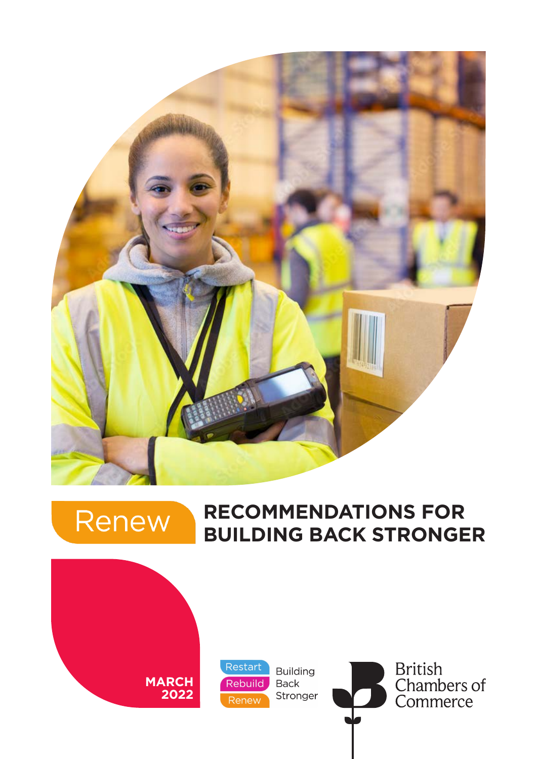

# Renew

## **RECOMMENDATIONS FOR BUILDING BACK STRONGER**

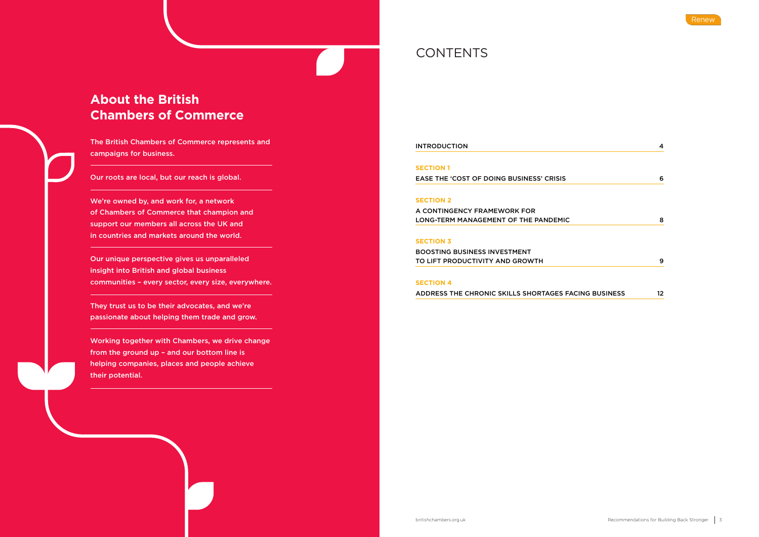## **About the British Chambers of Commerce**

The British Chambers of Commerce represents and campaigns for business.

Our roots are local, but our reach is global.

We're owned by, and work for, a network of Chambers of Commerce that champion and support our members all across the UK and in countries and markets around the world.

> BOOSTING BUSINESS INVESTMENT TO LIFT PRODUCTIVITY AND GROWTH

Our unique perspective gives us unparalleled insight into British and global business communities – every sector, every size, everywhere.

They trust us to be their advocates, and we're passionate about helping them trade and grow.

Working together with Chambers, we drive change from the ground up – and our bottom line is helping companies, places and people achieve their potential.

## **CONTENTS**

**INTRODUCTION** 

## **SECTION 1**

EASE THE 'COST OF DOING BUSINESS' CRISIS 6

### **SECTION 2**

A CONTINGENCY FRAMEWORK FOR LONG-TERM MANAGEMENT OF THE PANDEMIC 8

### **SECTION 3**

### **SECTION 4**

ADDRESS THE CHRONIC SKILLS SHORTAGES FAC



|                      | 4  |
|----------------------|----|
|                      |    |
|                      | 6  |
|                      |    |
|                      |    |
|                      | 8  |
|                      |    |
|                      |    |
|                      | 9  |
|                      |    |
| <b>CING BUSINESS</b> | 12 |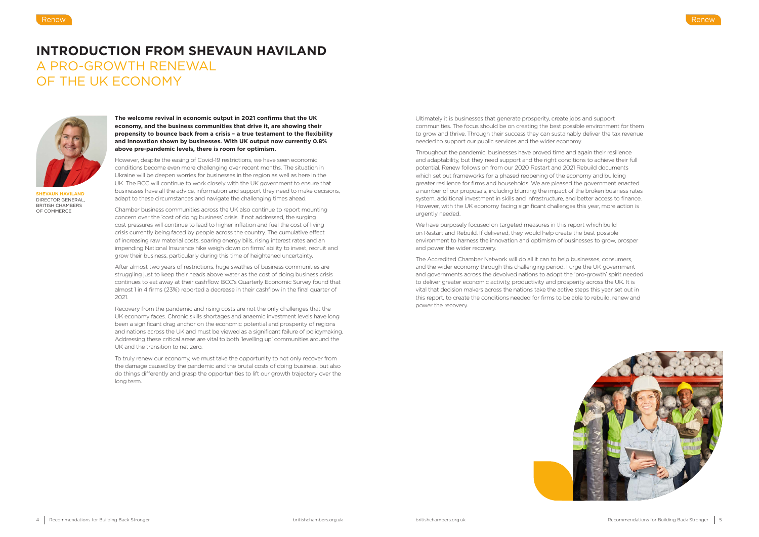**The welcome revival in economic output in 2021 confirms that the UK economy, and the business communities that drive it, are showing their propensity to bounce back from a crisis – a true testament to the flexibility and innovation shown by businesses. With UK output now currently 0.8% above pre-pandemic levels, there is room for optimism.**

However, despite the easing of Covid-19 restrictions, we have seen economic conditions become even more challenging over recent months. The situation in Ukraine will be deepen worries for businesses in the region as well as here in the UK. The BCC will continue to work closely with the UK government to ensure that businesses have all the advice, information and support they need to make decisions, adapt to these circumstances and navigate the challenging times ahead.

Chamber business communities across the UK also continue to report mounting concern over the 'cost of doing business' crisis. If not addressed, the surging cost pressures will continue to lead to higher inflation and fuel the cost of living crisis currently being faced by people across the country. The cumulative effect of increasing raw material costs, soaring energy bills, rising interest rates and an impending National Insurance hike weigh down on firms' ability to invest, recruit and grow their business, particularly during this time of heightened uncertainty.

After almost two years of restrictions, huge swathes of business communities are struggling just to keep their heads above water as the cost of doing business crisis continues to eat away at their cashflow. BCC's Quarterly Economic Survey found that almost 1 in 4 firms (23%) reported a decrease in their cashflow in the final quarter of 2021.

Recovery from the pandemic and rising costs are not the only challenges that the UK economy faces. Chronic skills shortages and anaemic investment levels have long been a significant drag anchor on the economic potential and prosperity of regions and nations across the UK and must be viewed as a significant failure of policymaking. Addressing these critical areas are vital to both 'levelling up' communities around the UK and the transition to net zero.

To truly renew our economy, we must take the opportunity to not only recover from the damage caused by the pandemic and the brutal costs of doing business, but also do things differently and grasp the opportunities to lift our growth trajectory over the long term.

## **INTRODUCTION FROM SHEVAUN HAVILAND** A PRO-GROWTH RENEWAL OF THE UK ECONOMY



**SHEVAUN HAVILAND** DIRECTOR GENERAL, BRITISH CHAMBERS OF COMMERCE

Ultimately it is businesses that generate prosperity, create jobs and support communities. The focus should be on creating the best possible environment for them to grow and thrive. Through their success they can sustainably deliver the tax revenue needed to support our public services and the wider economy.

Throughout the pandemic, businesses have proved time and again their resilience and adaptability, but they need support and the right conditions to achieve their full potential. Renew follows on from our 2020 Restart and 2021 Rebuild documents which set out frameworks for a phased reopening of the economy and building greater resilience for firms and households. We are pleased the government enacted a number of our proposals, including blunting the impact of the broken business rates system, additional investment in skills and infrastructure, and better access to finance. However, with the UK economy facing significant challenges this year, more action is urgently needed.

We have purposely focused on targeted measures in this report which build on Restart and Rebuild. If delivered, they would help create the best possible environment to harness the innovation and optimism of businesses to grow, prosper and power the wider recovery.

The Accredited Chamber Network will do all it can to help businesses, consumers, and the wider economy through this challenging period. I urge the UK government and governments across the devolved nations to adopt the 'pro-growth' spirit needed to deliver greater economic activity, productivity and prosperity across the UK. It is vital that decision makers across the nations take the active steps this year set out in this report, to create the conditions needed for firms to be able to rebuild, renew and power the recovery.



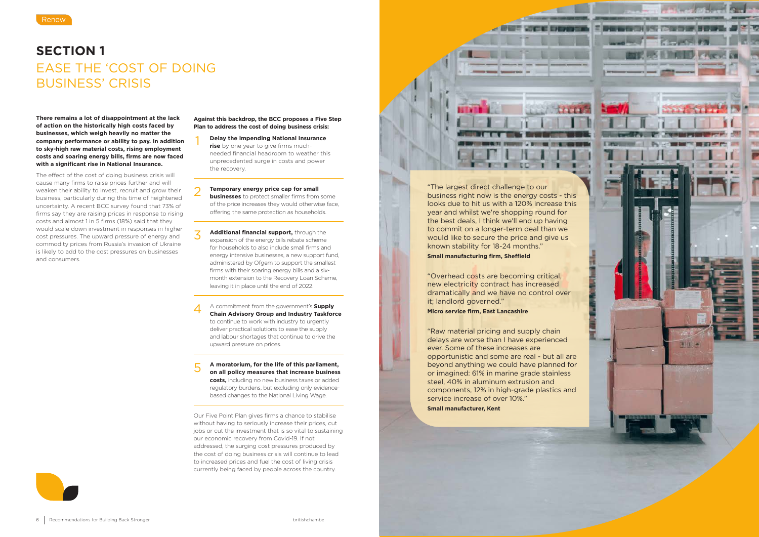## **SECTION 1** EASE THE 'COST OF DOING BUSINESS' CRISIS





**There remains a lot of disappointment at the lack of action on the historically high costs faced by businesses, which weigh heavily no matter the company performance or ability to pay. In addition to sky-high raw material costs, rising employment costs and soaring energy bills, firms are now faced with a significant rise in National Insurance.**

The effect of the cost of doing business crisis will cause many firms to raise prices further and will weaken their ability to invest, recruit and grow their business, particularly during this time of heightened uncertainty. A recent BCC survey found that 73% of firms say they are raising prices in response to rising costs and almost 1 in 5 firms (18%) said that they would scale down investment in responses in higher cost pressures. The upward pressure of energy and commodity prices from Russia's invasion of Ukraine is likely to add to the cost pressures on businesses and consumers.

**Against this backdrop, the BCC proposes a Five Step Plan to address the cost of doing business crisis:** 

- **Delay the impending National Insurance rise** by one year to give firms muchneeded financial headroom to weather this unprecedented surge in costs and power the recovery.
- **Temporary energy price cap for small businesses** to protect smaller firms from some of the price increases they would otherwise face, offering the same protection as households.
- **Additional financial support,** through the expansion of the energy bills rebate scheme for households to also include small firms and energy intensive businesses, a new support fund, administered by Ofgem to support the smallest firms with their soaring energy bills and a sixmonth extension to the Recovery Loan Scheme, leaving it in place until the end of 2022.
- $1\quad -2\quad -3\quad -4\quad -5$ A commitment from the government's **Supply Chain Advisory Group and Industry Taskforce** to continue to work with industry to urgently deliver practical solutions to ease the supply and labour shortages that continue to drive the upward pressure on prices.

**A moratorium, for the life of this parliament, on all policy measures that increase business costs,** including no new business taxes or added regulatory burdens, but excluding only evidencebased changes to the National Living Wage.

Our Five Point Plan gives firms a chance to stabilise without having to seriously increase their prices, cut jobs or cut the investment that is so vital to sustaining our economic recovery from Covid-19. If not addressed, the surging cost pressures produced by the cost of doing business crisis will continue to lead to increased prices and fuel the cost of living crisis currently being faced by people across the country.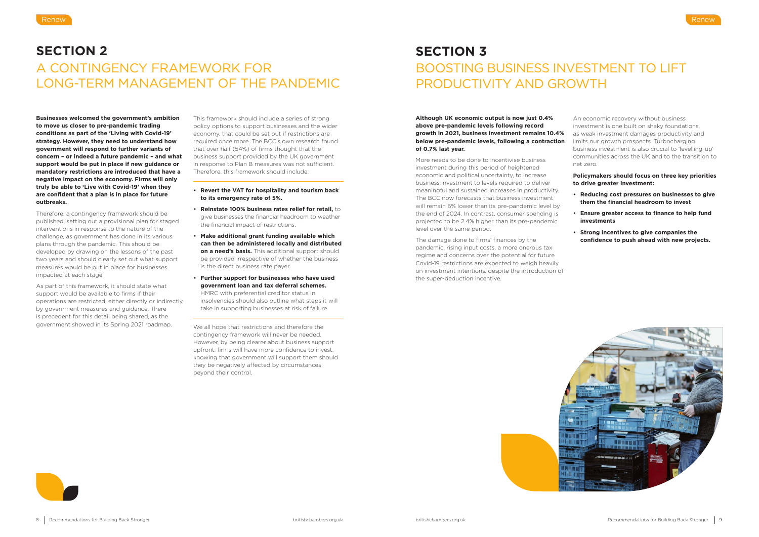## **SECTION 2** A CONTINGENCY FRAMEWORK FOR LONG-TERM MANAGEMENT OF THE PANDEMIC

**Businesses welcomed the government's ambition to move us closer to pre-pandemic trading conditions as part of the 'Living with Covid-19' strategy. However, they need to understand how government will respond to further variants of concern – or indeed a future pandemic – and what support would be put in place if new guidance or mandatory restrictions are introduced that have a negative impact on the economy. Firms will only truly be able to 'Live with Covid-19' when they are confident that a plan is in place for future outbreaks.** 

Therefore, a contingency framework should be published, setting out a provisional plan for staged interventions in response to the nature of the challenge, as government has done in its various plans through the pandemic. This should be developed by drawing on the lessons of the past two years and should clearly set out what support measures would be put in place for businesses impacted at each stage.

As part of this framework, it should state what support would be available to firms if their operations are restricted, either directly or indirectly, by government measures and guidance. There is precedent for this detail being shared, as the government showed in its Spring 2021 roadmap.

This framework should include a series of strong policy options to support businesses and the wider economy, that could be set out if restrictions are required once more. The BCC's own research found that over half (54%) of firms thought that the business support provided by the UK government in response to Plan B measures was not sufficient. Therefore, this framework should include:

- **• Revert the VAT for hospitality and tourism back to its emergency rate of 5%.**
- **• Reinstate 100% business rates relief for retail,** to give businesses the financial headroom to weather the financial impact of restrictions.
- **• Make additional grant funding available which can then be administered locally and distributed on a need's basis.** This additional support should be provided irrespective of whether the business is the direct business rate payer.
- **• Further support for businesses who have used government loan and tax deferral schemes.**  HMRC with preferential creditor status in insolvencies should also outline what steps it will take in supporting businesses at risk of failure.

We all hope that restrictions and therefore the contingency framework will never be needed. However, by being clearer about business support upfront, firms will have more confidence to invest, knowing that government will support them should they be negatively affected by circumstances beyond their control.

## **SECTION 3** BOOSTING BUSINESS INVESTMENT TO LIFT PRODUCTIVITY AND GROWTH

investment during this period of heightened economic and political uncertainty, to increase business investment to levels required to deliver meaningful and sustained increases in productivity. The BCC now forecasts that business investment will remain 6% lower than its pre-pandemic level by the end of 2024. In contrast, consumer spending is projected to be 2.4% higher than its pre-pandemic level over the same period.

**Although UK economic output is now just 0.4% above pre-pandemic levels following record growth in 2021, business investment remains 10.4% below pre-pandemic levels, following a contraction of 0.7% last year.**  More needs to be done to incentivise business An economic recovery without business investment is one built on shaky foundations, as weak investment damages productivity and limits our growth prospects. Turbocharging business investment is also crucial to 'levelling-up' communities across the UK and to the transition to net zero.

The damage done to firms' finances by the pandemic, rising input costs, a more onerous tax regime and concerns over the potential for future Covid-19 restrictions are expected to weigh heavily on investment intentions, despite the introduction of the super-deduction incentive.





### **Policymakers should focus on three key priorities to drive greater investment:**

- **• Reducing cost pressures on businesses to give them the financial headroom to invest**
- **• Ensure greater access to finance to help fund investments**
- **• Strong incentives to give companies the confidence to push ahead with new projects.**

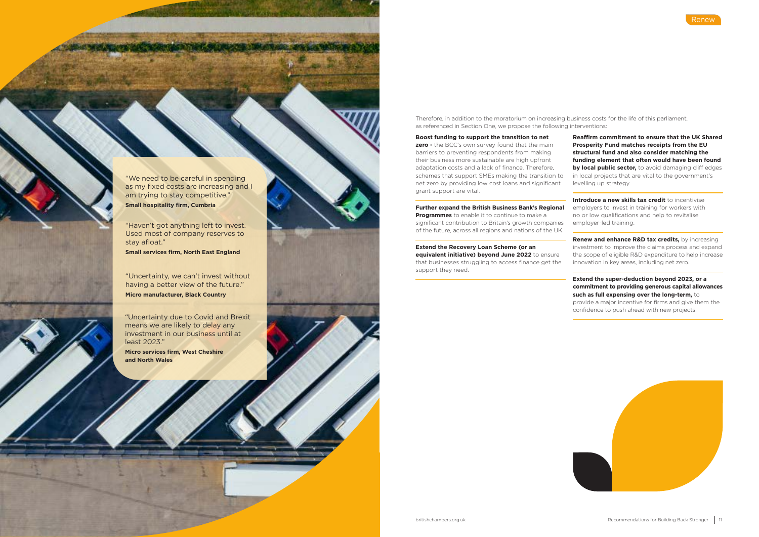Therefore, in addition to the moratorium on increasing business costs for the life of this parliament, as referenced in Section One, we propose the following interventions:

### **Boost funding to support the transition to net**

**zero** - the BCC's own survey found that the main barriers to preventing respondents from making their business more sustainable are high upfront adaptation costs and a lack of finance. Therefore, schemes that support SMEs making the transition to net zero by providing low cost loans and significant grant support are vital.

### **Further expand the British Business Bank's Regional**

**Introduce a new skills tax credit** to incentivise employers to invest in training for workers with no or low qualifications and help to revitalise employer-led training.

**Programmes** to enable it to continue to make a significant contribution to Britain's growth companies of the future, across all regions and nations of the UK.

> **Renew and enhance R&D tax credits, by increasing** investment to improve the claims process and expand the scope of eligible R&D expenditure to help increase innovation in key areas, including net zero.

**Extend the Recovery Loan Scheme (or an** 

**equivalent initiative) beyond June 2022** to ensure that businesses struggling to access finance get the support they need.



**Reaffirm commitment to ensure that the UK Shared Prosperity Fund matches receipts from the EU structural fund and also consider matching the funding element that often would have been found by local public sector,** to avoid damaging cliff edges in local projects that are vital to the government's levelling up strategy.

**Extend the super-deduction beyond 2023, or a commitment to providing generous capital allowances such as full expensing over the long-term,** to

provide a major incentive for firms and give them the confidence to push ahead with new projects.



"We need to be careful in spending as my fixed costs are increasing and I am trying to stay competitive."

**Small hospitality firm, Cumbria**

"Haven't got anything left to invest. Used most of company reserves to stay afloat."

**Small services firm, North East England**

"Uncertainty, we can't invest without having a better view of the future."

**Micro manufacturer, Black Country**

"Uncertainty due to Covid and Brexit means we are likely to delay any investment in our business until at least 2023."

**Micro services firm, West Cheshire and North Wales**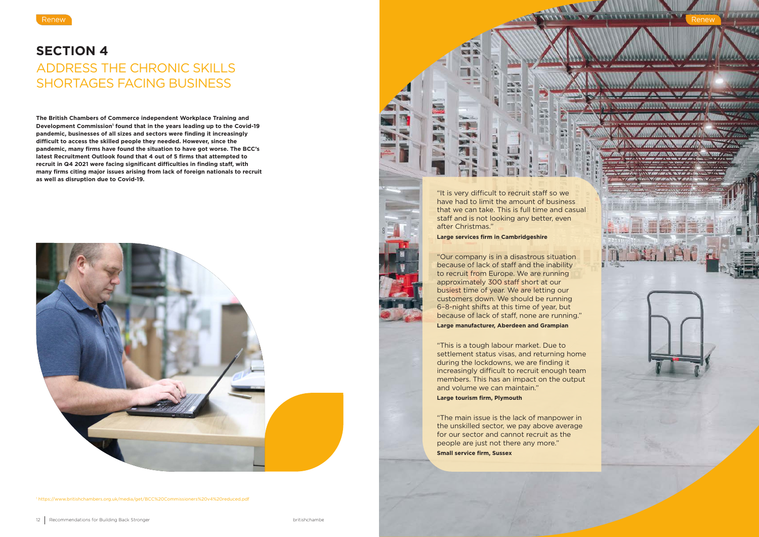## **SECTION 4** ADDRESS THE CHRONIC SKILLS SHORTAGES FACING BUSINESS

**The British Chambers of Commerce independent Workplace Training and**  Development Commission<sup>1</sup> found that in the years leading up to the Covid-19 **pandemic, businesses of all sizes and sectors were finding it increasingly difficult to access the skilled people they needed. However, since the pandemic, many firms have found the situation to have got worse. The BCC's latest Recruitment Outlook found that 4 out of 5 firms that attempted to recruit in Q4 2021 were facing significant difficulties in finding staff, with many firms citing major issues arising from lack of foreign nationals to recruit as well as disruption due to Covid-19.**



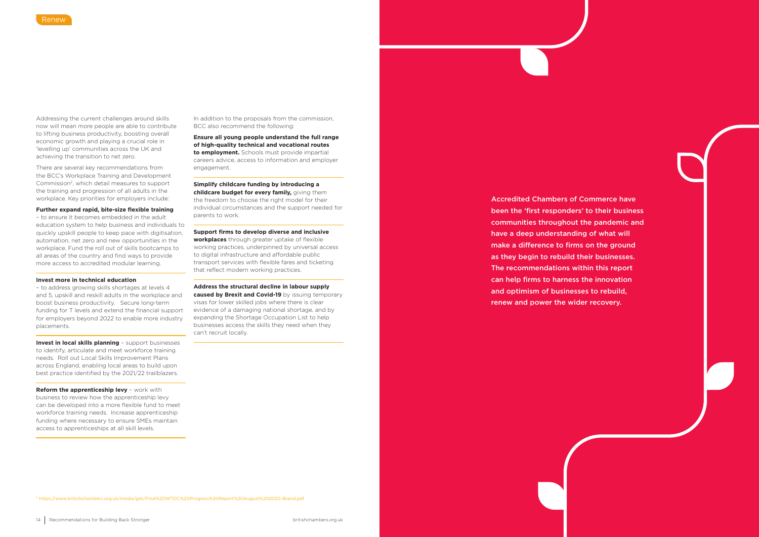Addressing the current challenges around skills now will mean more people are able to contribute to lifting business productivity, boosting overall economic growth and playing a crucial role in 'levelling up' communities across the UK and achieving the transition to net zero.

There are several key recommendations from the BCC's Workplace Training and Development Commission<sup>2</sup>, which detail measures to support the training and progression of all adults in the workplace. Key priorities for employers include:

### **Further expand rapid, bite-size flexible training**

– to ensure it becomes embedded in the adult education system to help business and individuals to quickly upskill people to keep pace with digitisation, automation, net zero and new opportunities in the workplace. Fund the roll out of skills bootcamps to all areas of the country and find ways to provide more access to accredited modular learning.

### **Invest more in technical education**

– to address growing skills shortages at levels 4 and 5, upskill and reskill adults in the workplace and boost business productivity. Secure long-term funding for T levels and extend the financial support for employers beyond 2022 to enable more industry placements.

**Invest in local skills planning** – support businesses to identify, articulate and meet workforce training needs. Roll out Local Skills Improvement Plans across England, enabling local areas to build upon best practice identified by the 2021/22 trailblazers.

**Reform the apprenticeship levy** – work with business to review how the apprenticeship levy can be developed into a more flexible fund to meet workforce training needs. Increase apprenticeship funding where necessary to ensure SMEs maintain access to apprenticeships at all skill levels.

In addition to the proposals from the commission, BCC also recommend the following:

**Ensure all young people understand the full range of high-quality technical and vocational routes to employment.** Schools must provide impartial careers advice, access to information and employer engagement.

**Simplify childcare funding by introducing a childcare budget for every family,** giving them the freedom to choose the right model for their individual circumstances and the support needed for parents to work.

**Support firms to develop diverse and inclusive workplaces** through greater uptake of flexible working practices, underpinned by universal access to digital infrastructure and affordable public transport services with flexible fares and ticketing that reflect modern working practices.

**Address the structural decline in labour supply caused by Brexit and Covid-19** by issuing temporary visas for lower skilled jobs where there is clear evidence of a damaging national shortage, and by expanding the Shortage Occupation List to help businesses access the skills they need when they can't recruit locally.

2 https://www.britishchambers.org.uk/media/get/Final%20WTDC%20Progress%20Report%20August%202020-Brand.pdf

Accredited Chambers of Commerce have been the 'first responders' to their business communities throughout the pandemic and have a deep understanding of what will make a difference to firms on the ground as they begin to rebuild their businesses. The recommendations within this report can help firms to harness the innovation and optimism of businesses to rebuild, renew and power the wider recovery.